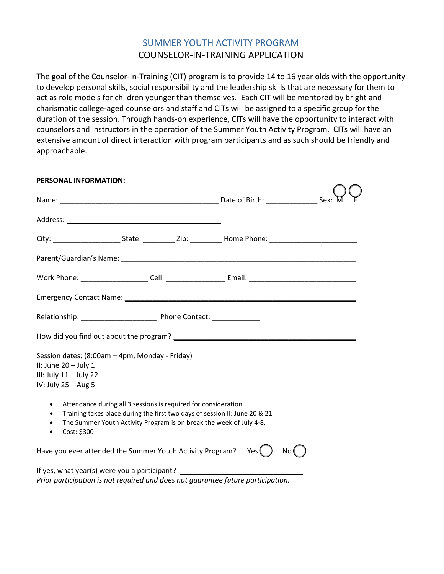# SUMMER YOUTH ACTIVITY PROGRAM COUNSELOR-IN-TRAINING APPLICATION

The goal of the Counselor-In-Training (CIT) program is to provide 14 to 16 year olds with the opportunity to develop personal skills, social responsibility and the leadership skills that are necessary for them to act as role models for children younger than themselves. Each CIT will be mentored by bright and charismatic college-aged counselors and staff and CITs will be assigned to a specific group for the duration of the session. Through hands-on experience, CITs will have the opportunity to interact with counselors and instructors in the operation of the Summer Youth Activity Program. CITs will have an extensive amount of direct interaction with program participants and as such should be friendly and approachable.

| PERSONAL INFORMATION:                                                                                                                                                                                                                                                                   |               |
|-----------------------------------------------------------------------------------------------------------------------------------------------------------------------------------------------------------------------------------------------------------------------------------------|---------------|
|                                                                                                                                                                                                                                                                                         |               |
|                                                                                                                                                                                                                                                                                         |               |
|                                                                                                                                                                                                                                                                                         |               |
|                                                                                                                                                                                                                                                                                         |               |
|                                                                                                                                                                                                                                                                                         |               |
|                                                                                                                                                                                                                                                                                         |               |
|                                                                                                                                                                                                                                                                                         |               |
|                                                                                                                                                                                                                                                                                         |               |
| Session dates: (8:00am - 4pm, Monday - Friday)<br>II: June $20 -$ July 1<br>III: July $11 -$ July 22<br>IV: July $25 - Aug 5$                                                                                                                                                           |               |
| Attendance during all 3 sessions is required for consideration.<br>$\bullet$<br>Training takes place during the first two days of session II: June 20 & 21<br>$\bullet$<br>The Summer Youth Activity Program is on break the week of July 4-8.<br>$\bullet$<br>Cost: \$300<br>$\bullet$ |               |
| Have you ever attended the Summer Youth Activity Program?                                                                                                                                                                                                                               | Yes (<br>No ( |
| If yes, what year(s) were you a participant? ___________________________________                                                                                                                                                                                                        |               |

*Prior participation is not required and does not guarantee future participation.*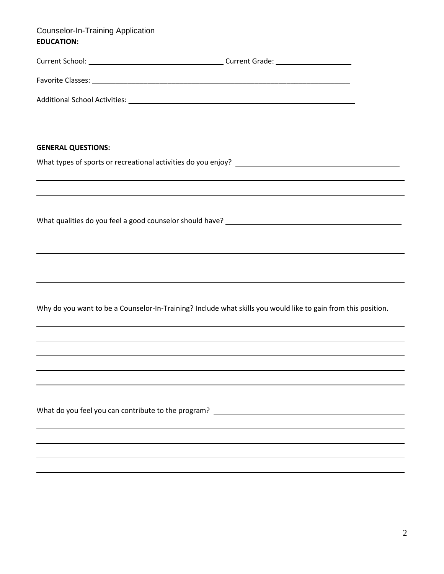| <b>Counselor-In-Training Application</b> |  |
|------------------------------------------|--|
| <b>EDUCATION:</b>                        |  |

| <b>GENERAL QUESTIONS:</b> |                                                                                                                                                                                                   |  |
|---------------------------|---------------------------------------------------------------------------------------------------------------------------------------------------------------------------------------------------|--|
|                           |                                                                                                                                                                                                   |  |
|                           |                                                                                                                                                                                                   |  |
|                           |                                                                                                                                                                                                   |  |
|                           | ,我们也不会有什么。""我们的人,我们也不会有什么?""我们的人,我们也不会有什么?""我们的人,我们也不会有什么?""我们的人,我们也不会有什么?""我们的人                                                                                                                  |  |
|                           |                                                                                                                                                                                                   |  |
|                           | ,我们也不会有什么。""我们的人,我们也不会有什么?""我们的人,我们也不会有什么?""我们的人,我们也不会有什么?""我们的人,我们也不会有什么?""我们的人                                                                                                                  |  |
|                           | Why do you want to be a Counselor-In-Training? Include what skills you would like to gain from this position.<br>,我们也不会有什么。""我们的人,我们也不会有什么?""我们的人,我们也不会有什么?""我们的人,我们也不会有什么?""我们的人,我们也不会有什么?""我们的人 |  |
|                           |                                                                                                                                                                                                   |  |
|                           | ,我们也不会有什么。""我们的人,我们也不会有什么?""我们的人,我们也不会有什么?""我们的人,我们也不会有什么?""我们的人,我们也不会有什么?""我们的人                                                                                                                  |  |
|                           |                                                                                                                                                                                                   |  |
|                           |                                                                                                                                                                                                   |  |
|                           |                                                                                                                                                                                                   |  |
|                           |                                                                                                                                                                                                   |  |
|                           |                                                                                                                                                                                                   |  |
|                           |                                                                                                                                                                                                   |  |
|                           |                                                                                                                                                                                                   |  |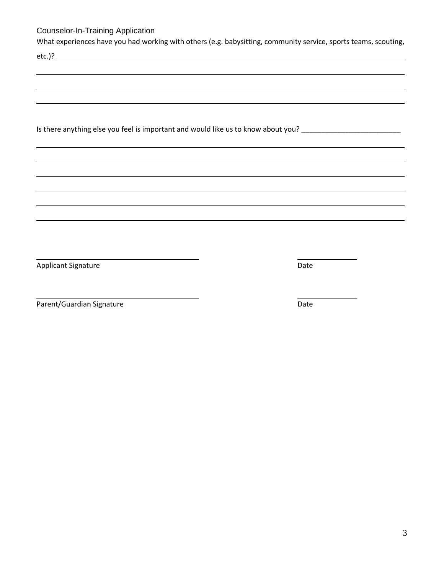### Counselor-In-Training Application

What experiences have you had working with others (e.g. babysitting, community service, sports teams, scouting,

etc.)?

Is there anything else you feel is important and would like us to know about you? \_\_\_\_\_\_\_\_\_\_\_\_\_\_\_\_\_\_\_\_\_\_\_\_\_\_\_\_

Applicant Signature Date

Parent/Guardian Signature Date Date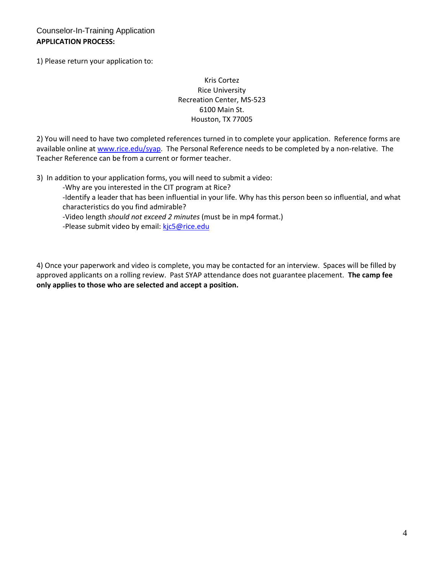Counselor-In-Training Application **APPLICATION PROCESS:**

1) Please return your application to:

#### Kris Cortez Rice University Recreation Center, MS-523 6100 Main St. Houston, TX 77005

2) You will need to have two completed references turned in to complete your application. Reference forms are available online at [www.rice.edu/syap.](http://www.rice.edu/syap) The Personal Reference needs to be completed by a non-relative. The Teacher Reference can be from a current or former teacher.

3) In addition to your application forms, you will need to submit a video:

-Why are you interested in the CIT program at Rice?

-Identify a leader that has been influential in your life. Why has this person been so influential, and what characteristics do you find admirable?

-Video length *should not exceed 2 minutes* (must be in mp4 format.)

-Please submit video by email[: kjc5@rice.edu](mailto:kjc5@rice.edu)

4) Once your paperwork and video is complete, you may be contacted for an interview. Spaces will be filled by approved applicants on a rolling review. Past SYAP attendance does not guarantee placement. **The camp fee only applies to those who are selected and accept a position.**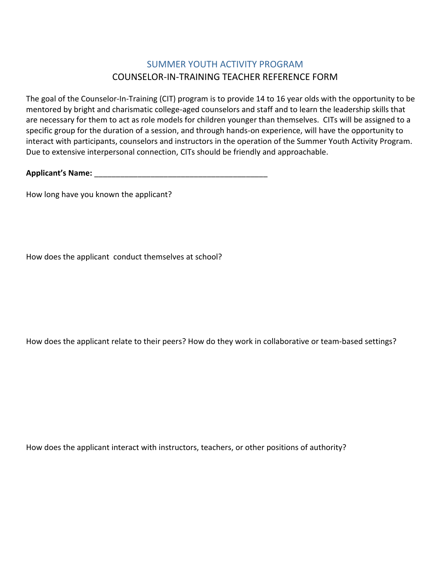# SUMMER YOUTH ACTIVITY PROGRAM COUNSELOR-IN-TRAINING TEACHER REFERENCE FORM

The goal of the Counselor-In-Training (CIT) program is to provide 14 to 16 year olds with the opportunity to be mentored by bright and charismatic college-aged counselors and staff and to learn the leadership skills that are necessary for them to act as role models for children younger than themselves. CITs will be assigned to a specific group for the duration of a session, and through hands-on experience, will have the opportunity to interact with participants, counselors and instructors in the operation of the Summer Youth Activity Program. Due to extensive interpersonal connection, CITs should be friendly and approachable.

**Applicant's Name:** \_\_\_\_\_\_\_\_\_\_\_\_\_\_\_\_\_\_\_\_\_\_\_\_\_\_\_\_\_\_\_\_\_\_\_\_\_\_\_\_

How long have you known the applicant?

How does the applicant conduct themselves at school?

How does the applicant relate to their peers? How do they work in collaborative or team-based settings?

How does the applicant interact with instructors, teachers, or other positions of authority?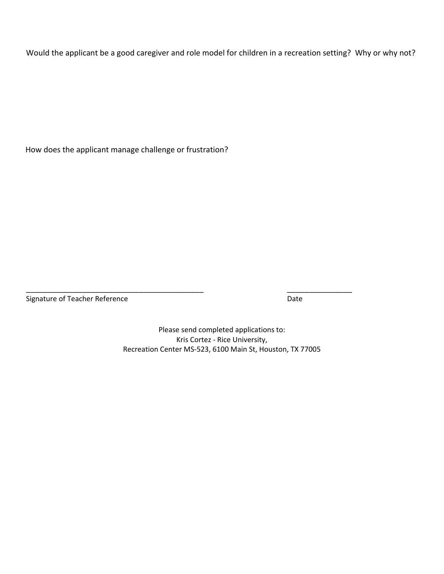Would the applicant be a good caregiver and role model for children in a recreation setting? Why or why not?

How does the applicant manage challenge or frustration?

Signature of Teacher Reference **Date** Date Date

Please send completed applications to: Kris Cortez - Rice University, Recreation Center MS-523, 6100 Main St, Houston, TX 77005

\_\_\_\_\_\_\_\_\_\_\_\_\_\_\_\_\_\_\_\_\_\_\_\_\_\_\_\_\_\_\_\_\_\_\_\_\_\_\_\_\_ \_\_\_\_\_\_\_\_\_\_\_\_\_\_\_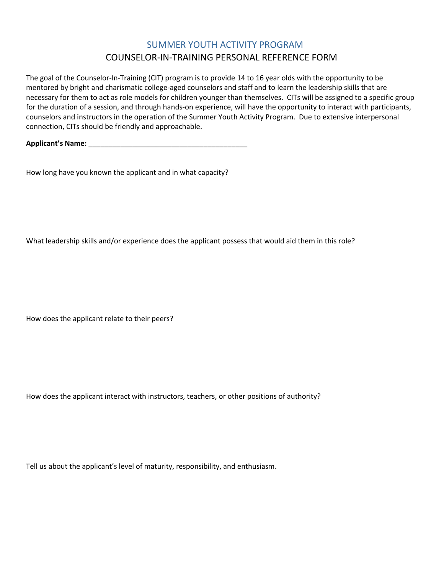# SUMMER YOUTH ACTIVITY PROGRAM COUNSELOR-IN-TRAINING PERSONAL REFERENCE FORM

The goal of the Counselor-In-Training (CIT) program is to provide 14 to 16 year olds with the opportunity to be mentored by bright and charismatic college-aged counselors and staff and to learn the leadership skills that are necessary for them to act as role models for children younger than themselves. CITs will be assigned to a specific group for the duration of a session, and through hands-on experience, will have the opportunity to interact with participants, counselors and instructors in the operation of the Summer Youth Activity Program. Due to extensive interpersonal connection, CITs should be friendly and approachable.

**Applicant's Name:** \_\_\_\_\_\_\_\_\_\_\_\_\_\_\_\_\_\_\_\_\_\_\_\_\_\_\_\_\_\_\_\_\_\_\_\_\_\_\_\_

How long have you known the applicant and in what capacity?

What leadership skills and/or experience does the applicant possess that would aid them in this role?

How does the applicant relate to their peers?

How does the applicant interact with instructors, teachers, or other positions of authority?

Tell us about the applicant's level of maturity, responsibility, and enthusiasm.